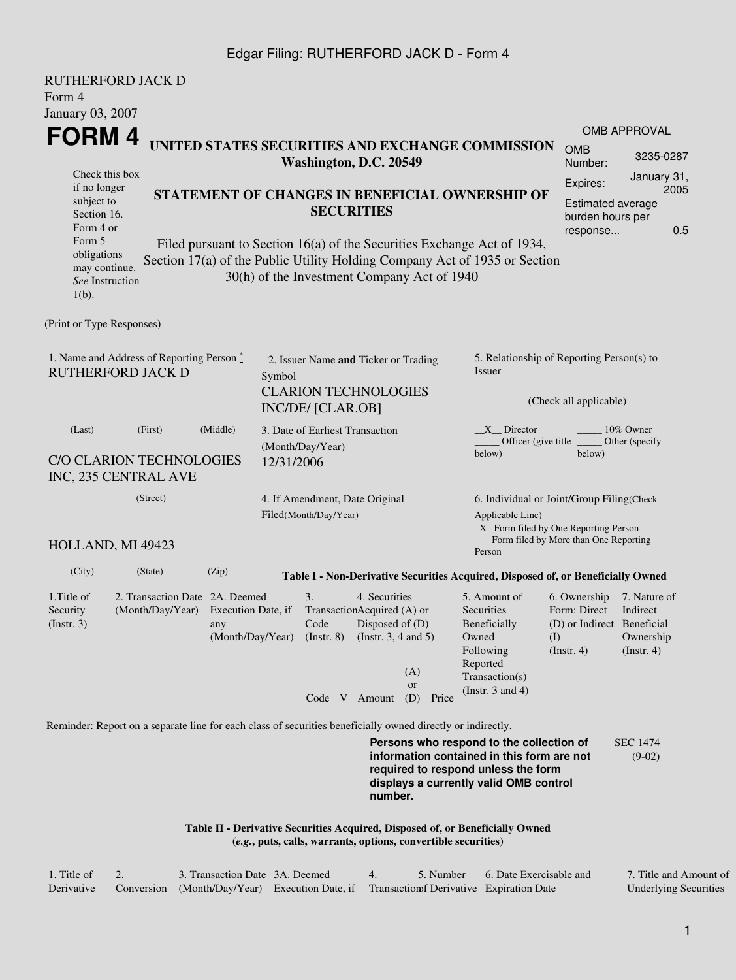## Edgar Filing: RUTHERFORD JACK D - Form 4

| <b>RUTHERFORD JACK D</b>                                                                                       |                                                                               |                           |                                                     |                                           |                                                                                              |                                                                |                                                                                                                                                                         |                                                                                 |                                                                                     |  |
|----------------------------------------------------------------------------------------------------------------|-------------------------------------------------------------------------------|---------------------------|-----------------------------------------------------|-------------------------------------------|----------------------------------------------------------------------------------------------|----------------------------------------------------------------|-------------------------------------------------------------------------------------------------------------------------------------------------------------------------|---------------------------------------------------------------------------------|-------------------------------------------------------------------------------------|--|
| Form 4                                                                                                         |                                                                               |                           |                                                     |                                           |                                                                                              |                                                                |                                                                                                                                                                         |                                                                                 |                                                                                     |  |
| January 03, 2007                                                                                               |                                                                               |                           |                                                     |                                           |                                                                                              |                                                                |                                                                                                                                                                         |                                                                                 |                                                                                     |  |
| FORM 4                                                                                                         |                                                                               |                           |                                                     |                                           |                                                                                              |                                                                |                                                                                                                                                                         |                                                                                 | <b>OMB APPROVAL</b>                                                                 |  |
| UNITED STATES SECURITIES AND EXCHANGE COMMISSION<br>Washington, D.C. 20549                                     |                                                                               |                           |                                                     |                                           |                                                                                              |                                                                |                                                                                                                                                                         |                                                                                 | 3235-0287                                                                           |  |
| Check this box<br>if no longer                                                                                 |                                                                               |                           |                                                     |                                           |                                                                                              |                                                                |                                                                                                                                                                         | Expires:                                                                        | January 31,<br>2005                                                                 |  |
| STATEMENT OF CHANGES IN BENEFICIAL OWNERSHIP OF<br>subject to<br><b>SECURITIES</b><br>Section 16.<br>Form 4 or |                                                                               |                           |                                                     |                                           |                                                                                              |                                                                |                                                                                                                                                                         | Estimated average<br>burden hours per<br>0.5<br>response                        |                                                                                     |  |
| Form 5<br>obligations<br>may continue.<br>See Instruction<br>$1(b)$ .                                          |                                                                               |                           |                                                     |                                           |                                                                                              | 30(h) of the Investment Company Act of 1940                    | Filed pursuant to Section 16(a) of the Securities Exchange Act of 1934,<br>Section 17(a) of the Public Utility Holding Company Act of 1935 or Section                   |                                                                                 |                                                                                     |  |
| (Print or Type Responses)                                                                                      |                                                                               |                           |                                                     |                                           |                                                                                              |                                                                |                                                                                                                                                                         |                                                                                 |                                                                                     |  |
| 1. Name and Address of Reporting Person *<br><b>RUTHERFORD JACK D</b>                                          | 2. Issuer Name and Ticker or Trading<br>Symbol<br><b>CLARION TECHNOLOGIES</b> |                           |                                                     |                                           | 5. Relationship of Reporting Person(s) to<br>Issuer                                          |                                                                |                                                                                                                                                                         |                                                                                 |                                                                                     |  |
|                                                                                                                |                                                                               |                           | INC/DE/ [CLAR.OB]                                   |                                           |                                                                                              | (Check all applicable)                                         |                                                                                                                                                                         |                                                                                 |                                                                                     |  |
| (Middle)<br>(Last)<br>(First)                                                                                  |                                                                               |                           | 3. Date of Earliest Transaction<br>(Month/Day/Year) |                                           |                                                                                              |                                                                | $X$ Director<br>10% Owner<br>Officer (give title)<br>Other (specify<br>below)<br>below)                                                                                 |                                                                                 |                                                                                     |  |
| C/O CLARION TECHNOLOGIES<br>INC, 235 CENTRAL AVE                                                               |                                                                               |                           | 12/31/2006                                          |                                           |                                                                                              |                                                                |                                                                                                                                                                         |                                                                                 |                                                                                     |  |
| (Street)<br>4. If Amendment, Date Original<br>Filed(Month/Day/Year)                                            |                                                                               |                           |                                                     |                                           | Applicable Line)                                                                             |                                                                |                                                                                                                                                                         |                                                                                 | 6. Individual or Joint/Group Filing(Check<br>_X_ Form filed by One Reporting Person |  |
| HOLLAND, MI 49423                                                                                              |                                                                               |                           |                                                     |                                           |                                                                                              | _ Form filed by More than One Reporting<br>Person              |                                                                                                                                                                         |                                                                                 |                                                                                     |  |
| (City)                                                                                                         | (State)                                                                       | (Zip)                     |                                                     |                                           |                                                                                              |                                                                | Table I - Non-Derivative Securities Acquired, Disposed of, or Beneficially Owned                                                                                        |                                                                                 |                                                                                     |  |
| 1.Title of<br>Security<br>$($ Instr. 3 $)$                                                                     | 2. Transaction Date 2A. Deemed<br>(Month/Day/Year)                            | Execution Date, if<br>any |                                                     | 3.<br>Code<br>(Month/Day/Year) (Instr. 8) | 4. Securities<br>TransactionAcquired (A) or<br>Disposed of $(D)$<br>(Instr. $3, 4$ and $5$ ) | (A)<br><b>or</b>                                               | 5. Amount of<br>Securities<br><b>Beneficially</b><br>Owned<br>Following<br>Reported<br>Transaction(s)<br>(Instr. $3$ and $4$ )                                          | 6. Ownership<br>Form: Direct<br>(D) or Indirect Beneficial<br>(I)<br>(Instr. 4) | 7. Nature of<br>Indirect<br>Ownership<br>$($ Instr. 4 $)$                           |  |
|                                                                                                                |                                                                               |                           |                                                     |                                           | Code V Amount                                                                                | (D) Price                                                      |                                                                                                                                                                         |                                                                                 |                                                                                     |  |
| Reminder: Report on a separate line for each class of securities beneficially owned directly or indirectly.    |                                                                               |                           |                                                     |                                           |                                                                                              |                                                                |                                                                                                                                                                         |                                                                                 |                                                                                     |  |
|                                                                                                                |                                                                               |                           |                                                     |                                           | number.                                                                                      |                                                                | Persons who respond to the collection of<br>information contained in this form are not<br>required to respond unless the form<br>displays a currently valid OMB control |                                                                                 | <b>SEC 1474</b><br>$(9-02)$                                                         |  |
|                                                                                                                |                                                                               |                           |                                                     |                                           |                                                                                              | (e.g., puts, calls, warrants, options, convertible securities) | Table II - Derivative Securities Acquired, Disposed of, or Beneficially Owned                                                                                           |                                                                                 |                                                                                     |  |

| 1. Title of | 3. Transaction Date 3A. Deemed |                                                                                          | 5. Number 6. Date Exercisable and | 7. Title and Amount of       |
|-------------|--------------------------------|------------------------------------------------------------------------------------------|-----------------------------------|------------------------------|
| Derivative  |                                | Conversion (Month/Day/Year) Execution Date, if Transaction of Derivative Expiration Date |                                   | <b>Underlying Securities</b> |